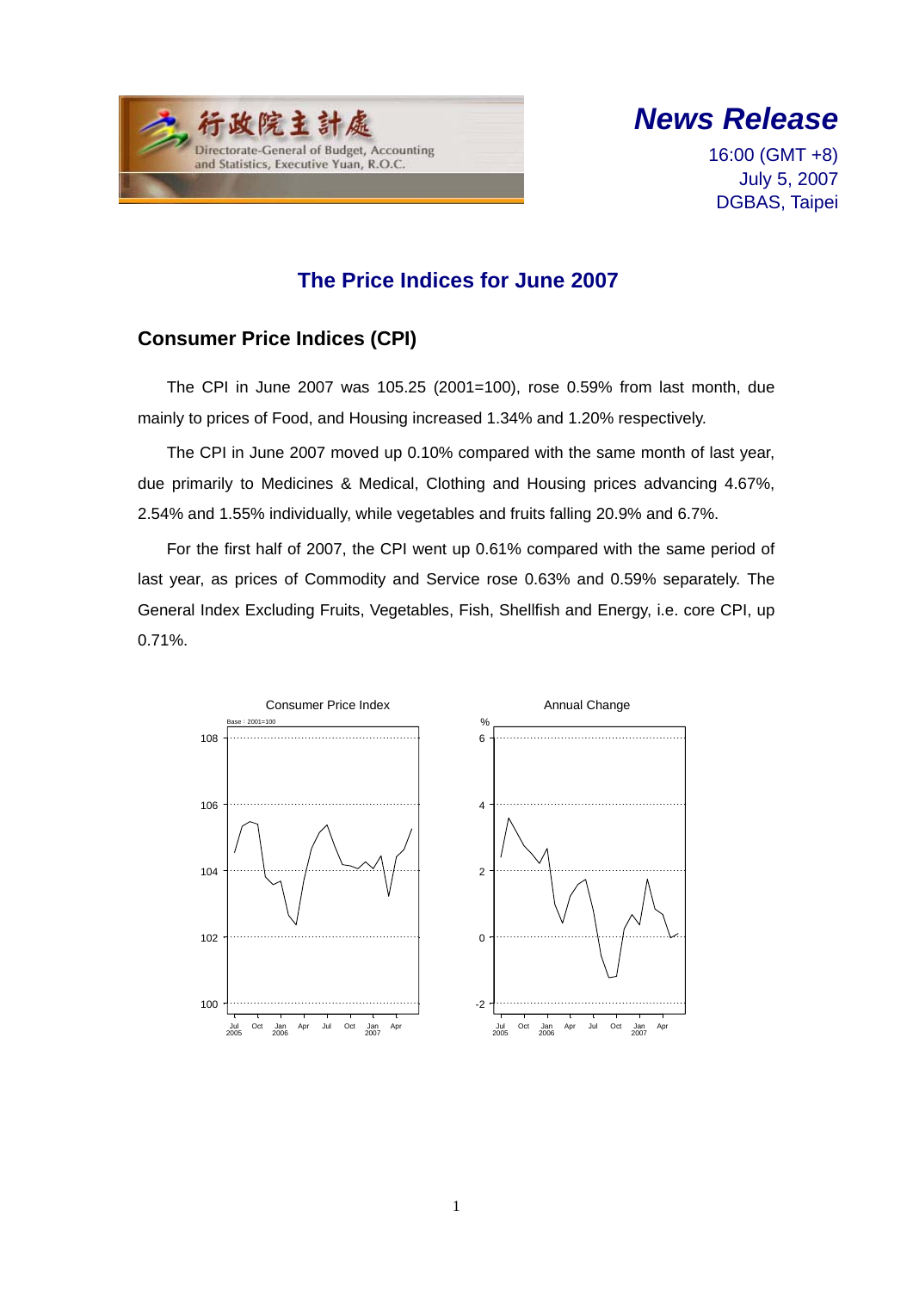



16:00 (GMT +8) July 5, 2007 DGBAS, Taipei

## **The Price Indices for June 2007**

### **Consumer Price Indices (CPI)**

The CPI in June 2007 was 105.25 (2001=100), rose 0.59% from last month, due mainly to prices of Food, and Housing increased 1.34% and 1.20% respectively.

The CPI in June 2007 moved up 0.10% compared with the same month of last year, due primarily to Medicines & Medical, Clothing and Housing prices advancing 4.67%, 2.54% and 1.55% individually, while vegetables and fruits falling 20.9% and 6.7%.

For the first half of 2007, the CPI went up 0.61% compared with the same period of last year, as prices of Commodity and Service rose 0.63% and 0.59% separately. The General Index Excluding Fruits, Vegetables, Fish, Shellfish and Energy, i.e. core CPI, up 0.71%.

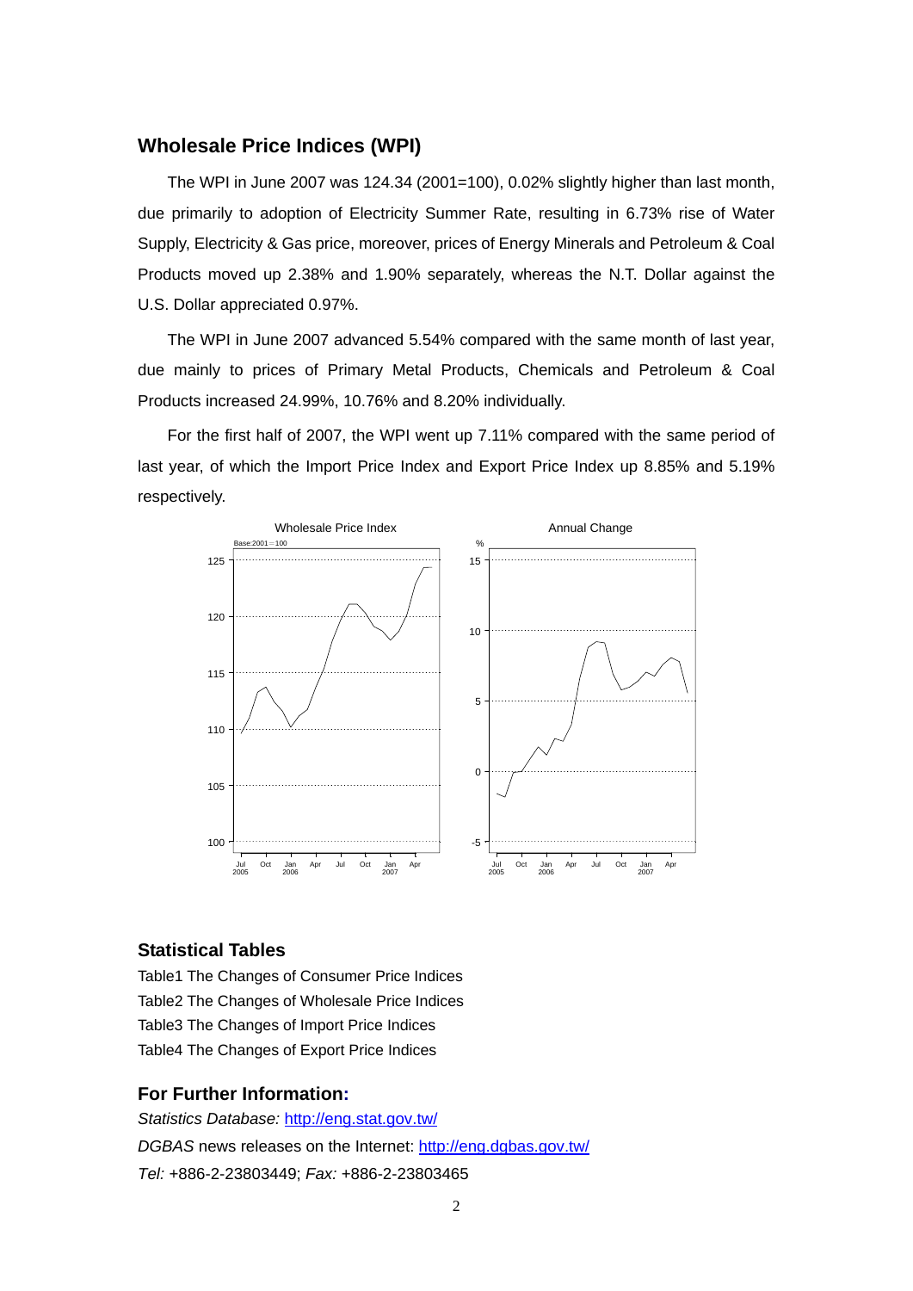#### **Wholesale Price Indices (WPI)**

The WPI in June 2007 was 124.34 (2001=100), 0.02% slightly higher than last month, due primarily to adoption of Electricity Summer Rate, resulting in 6.73% rise of Water Supply, Electricity & Gas price, moreover, prices of Energy Minerals and Petroleum & Coal Products moved up 2.38% and 1.90% separately, whereas the N.T. Dollar against the U.S. Dollar appreciated 0.97%.

The WPI in June 2007 advanced 5.54% compared with the same month of last year, due mainly to prices of Primary Metal Products, Chemicals and Petroleum & Coal Products increased 24.99%, 10.76% and 8.20% individually.

For the first half of 2007, the WPI went up 7.11% compared with the same period of last year, of which the Import Price Index and Export Price Index up 8.85% and 5.19% respectively.



#### **Statistical Tables**

Table1 The Changes of Consumer Price Indices Table2 The Changes of Wholesale Price Indices Table3 The Changes of Import Price Indices Table4 The Changes of Export Price Indices

#### **For Further Information:**

*Statistics Database:* http://eng.stat.gov.tw/ *DGBAS* news releases on the Internet: http://eng.dgbas.gov.tw/ *Tel:* +886-2-23803449; *Fax:* +886-2-23803465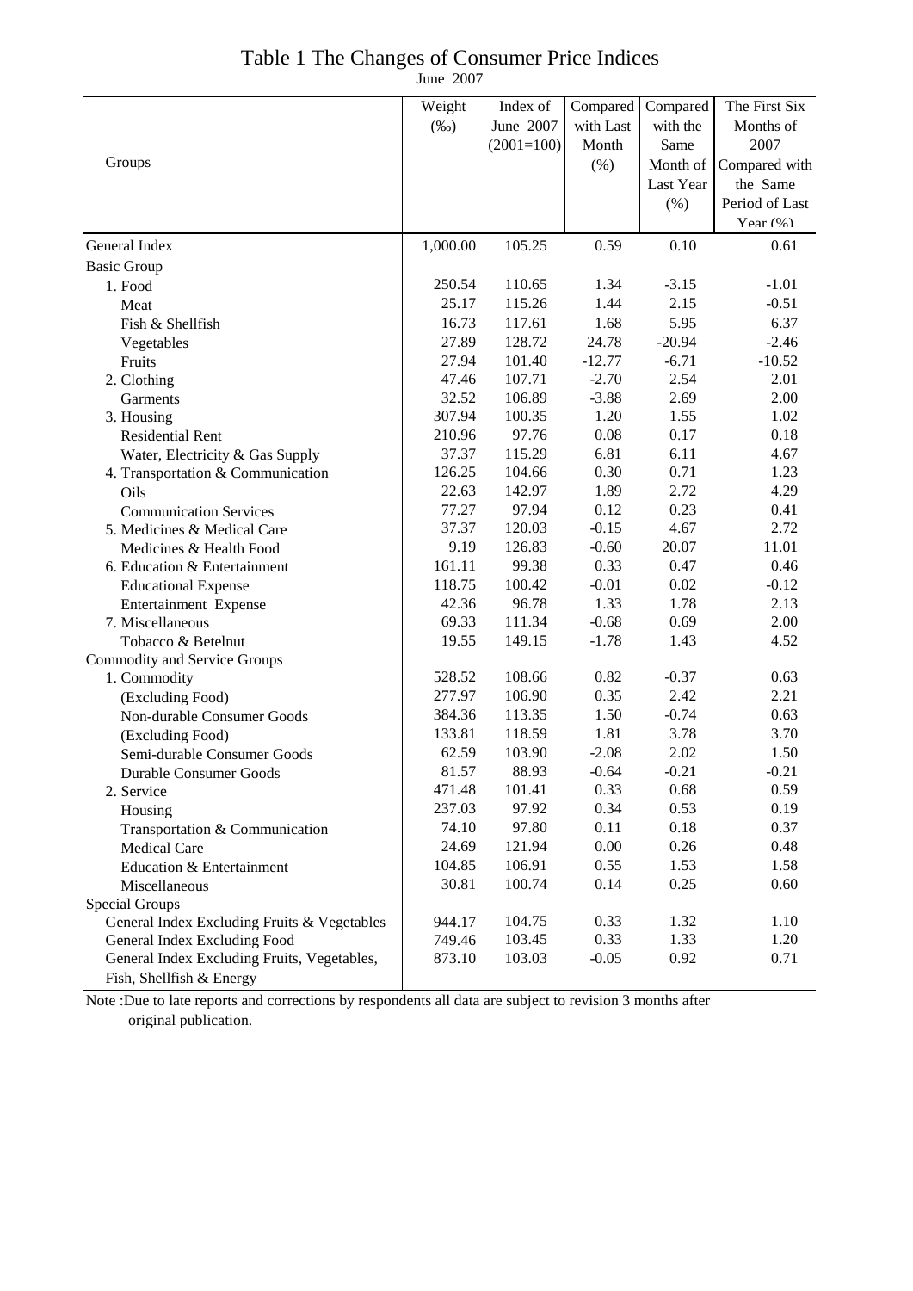## Table 1 The Changes of Consumer Price Indices

June 2007

|                                             | Weight   | Index of     | Compared  | Compared  | The First Six  |
|---------------------------------------------|----------|--------------|-----------|-----------|----------------|
|                                             | $(\%0)$  | June 2007    | with Last | with the  | Months of      |
|                                             |          | $(2001=100)$ | Month     | Same      | 2007           |
| Groups                                      |          |              | $(\% )$   | Month of  | Compared with  |
|                                             |          |              |           | Last Year | the Same       |
|                                             |          |              |           | (% )      | Period of Last |
|                                             |          |              |           |           | Year $(\% )$   |
| General Index                               | 1,000.00 | 105.25       | 0.59      | 0.10      | 0.61           |
| <b>Basic Group</b>                          |          |              |           |           |                |
| 1. Food                                     | 250.54   | 110.65       | 1.34      | $-3.15$   | $-1.01$        |
| Meat                                        | 25.17    | 115.26       | 1.44      | 2.15      | $-0.51$        |
| Fish & Shellfish                            | 16.73    | 117.61       | 1.68      | 5.95      | 6.37           |
| Vegetables                                  | 27.89    | 128.72       | 24.78     | $-20.94$  | $-2.46$        |
| Fruits                                      | 27.94    | 101.40       | $-12.77$  | $-6.71$   | $-10.52$       |
| 2. Clothing                                 | 47.46    | 107.71       | $-2.70$   | 2.54      | 2.01           |
| Garments                                    | 32.52    | 106.89       | $-3.88$   | 2.69      | 2.00           |
| 3. Housing                                  | 307.94   | 100.35       | 1.20      | 1.55      | 1.02           |
| <b>Residential Rent</b>                     | 210.96   | 97.76        | 0.08      | 0.17      | 0.18           |
| Water, Electricity & Gas Supply             | 37.37    | 115.29       | 6.81      | 6.11      | 4.67           |
| 4. Transportation & Communication           | 126.25   | 104.66       | 0.30      | 0.71      | 1.23           |
| Oils                                        | 22.63    | 142.97       | 1.89      | 2.72      | 4.29           |
| <b>Communication Services</b>               | 77.27    | 97.94        | 0.12      | 0.23      | 0.41           |
| 5. Medicines & Medical Care                 | 37.37    | 120.03       | $-0.15$   | 4.67      | 2.72           |
| Medicines & Health Food                     | 9.19     | 126.83       | $-0.60$   | 20.07     | 11.01          |
| 6. Education & Entertainment                | 161.11   | 99.38        | 0.33      | 0.47      | 0.46           |
| <b>Educational Expense</b>                  | 118.75   | 100.42       | $-0.01$   | 0.02      | $-0.12$        |
| Entertainment Expense                       | 42.36    | 96.78        | 1.33      | 1.78      | 2.13           |
| 7. Miscellaneous                            | 69.33    | 111.34       | $-0.68$   | 0.69      | 2.00           |
| Tobacco & Betelnut                          | 19.55    | 149.15       | $-1.78$   | 1.43      | 4.52           |
| <b>Commodity and Service Groups</b>         |          |              |           |           |                |
| 1. Commodity                                | 528.52   | 108.66       | 0.82      | $-0.37$   | 0.63           |
| (Excluding Food)                            | 277.97   | 106.90       | 0.35      | 2.42      | 2.21           |
| Non-durable Consumer Goods                  | 384.36   | 113.35       | 1.50      | $-0.74$   | 0.63           |
| (Excluding Food)                            | 133.81   | 118.59       | 1.81      | 3.78      | 3.70           |
| Semi-durable Consumer Goods                 | 62.59    | 103.90       | $-2.08$   | 2.02      | 1.50           |
| <b>Durable Consumer Goods</b>               | 81.57    | 88.93        | $-0.64$   | $-0.21$   | $-0.21$        |
| 2. Service                                  | 471.48   | 101.41       | 0.33      | 0.68      | 0.59           |
| Housing                                     | 237.03   | 97.92        | 0.34      | 0.53      | 0.19           |
| Transportation & Communication              | 74.10    | 97.80        | 0.11      | 0.18      | 0.37           |
| <b>Medical Care</b>                         | 24.69    | 121.94       | 0.00      | 0.26      | 0.48           |
| Education & Entertainment                   | 104.85   | 106.91       | 0.55      | 1.53      | 1.58           |
| Miscellaneous                               | 30.81    | 100.74       | 0.14      | 0.25      | 0.60           |
| Special Groups                              |          |              |           |           |                |
| General Index Excluding Fruits & Vegetables | 944.17   | 104.75       | 0.33      | 1.32      | 1.10           |
| General Index Excluding Food                | 749.46   | 103.45       | 0.33      | 1.33      | 1.20           |
| General Index Excluding Fruits, Vegetables, | 873.10   | 103.03       | $-0.05$   | 0.92      | 0.71           |
| Fish, Shellfish & Energy                    |          |              |           |           |                |

Note :Due to late reports and corrections by respondents all data are subject to revision 3 months after original publication.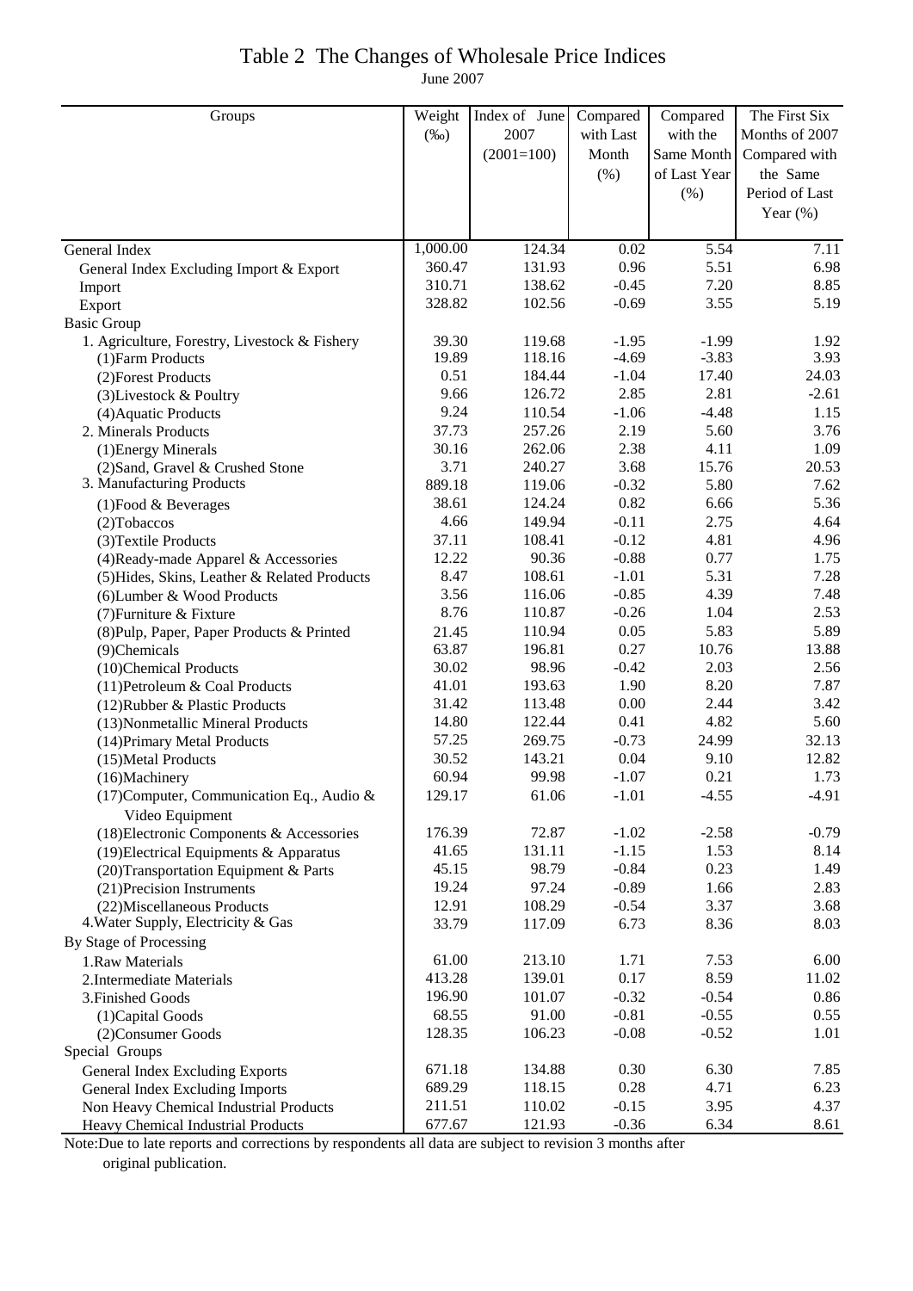## Table 2 The Changes of Wholesale Price Indices

June 2007

| Groups                                        | Weight   | Index of June | Compared  | Compared     | The First Six  |
|-----------------------------------------------|----------|---------------|-----------|--------------|----------------|
|                                               | $(\%0)$  | 2007          | with Last | with the     | Months of 2007 |
|                                               |          | $(2001=100)$  | Month     | Same Month   | Compared with  |
|                                               |          |               | (% )      | of Last Year | the Same       |
|                                               |          |               |           | (% )         | Period of Last |
|                                               |          |               |           |              | Year $(\%)$    |
|                                               |          |               |           |              |                |
| General Index                                 | 1,000.00 | 124.34        | 0.02      | 5.54         | 7.11           |
| General Index Excluding Import & Export       | 360.47   | 131.93        | 0.96      | 5.51         | 6.98           |
| Import                                        | 310.71   | 138.62        | $-0.45$   | 7.20         | 8.85           |
| Export                                        | 328.82   | 102.56        | $-0.69$   | 3.55         | 5.19           |
| <b>Basic Group</b>                            |          |               |           |              |                |
| 1. Agriculture, Forestry, Livestock & Fishery | 39.30    | 119.68        | $-1.95$   | $-1.99$      | 1.92           |
| (1) Farm Products                             | 19.89    | 118.16        | $-4.69$   | $-3.83$      | 3.93           |
| (2) Forest Products                           | 0.51     | 184.44        | $-1.04$   | 17.40        | 24.03          |
| (3) Livestock & Poultry                       | 9.66     | 126.72        | 2.85      | 2.81         | $-2.61$        |
| (4) Aquatic Products                          | 9.24     | 110.54        | $-1.06$   | $-4.48$      | 1.15           |
| 2. Minerals Products                          | 37.73    | 257.26        | 2.19      | 5.60         | 3.76           |
| (1) Energy Minerals                           | 30.16    | 262.06        | 2.38      | 4.11         | 1.09           |
| (2) Sand, Gravel & Crushed Stone              | 3.71     | 240.27        | 3.68      | 15.76        | 20.53          |
| 3. Manufacturing Products                     | 889.18   | 119.06        | $-0.32$   | 5.80         | 7.62           |
| $(1)$ Food & Beverages                        | 38.61    | 124.24        | 0.82      | 6.66         | 5.36           |
| (2) Tobaccos                                  | 4.66     | 149.94        | $-0.11$   | 2.75         | 4.64           |
| (3) Textile Products                          | 37.11    | 108.41        | $-0.12$   | 4.81         | 4.96           |
| (4) Ready-made Apparel & Accessories          | 12.22    | 90.36         | $-0.88$   | 0.77         | 1.75           |
| (5) Hides, Skins, Leather & Related Products  | 8.47     | 108.61        | $-1.01$   | 5.31         | 7.28           |
| (6) Lumber & Wood Products                    | 3.56     | 116.06        | $-0.85$   | 4.39         | 7.48           |
| (7) Furniture & Fixture                       | 8.76     | 110.87        | $-0.26$   | 1.04         | 2.53           |
| (8) Pulp, Paper, Paper Products & Printed     | 21.45    | 110.94        | 0.05      | 5.83         | 5.89           |
| (9)Chemicals                                  | 63.87    | 196.81        | 0.27      | 10.76        | 13.88          |
| (10)Chemical Products                         | 30.02    | 98.96         | $-0.42$   | 2.03         | 2.56           |
| (11) Petroleum & Coal Products                | 41.01    | 193.63        | 1.90      | 8.20         | 7.87           |
| (12) Rubber & Plastic Products                | 31.42    | 113.48        | 0.00      | 2.44         | 3.42           |
| (13) Nonmetallic Mineral Products             | 14.80    | 122.44        | 0.41      | 4.82         | 5.60           |
| (14) Primary Metal Products                   | 57.25    | 269.75        | $-0.73$   | 24.99        | 32.13          |
| (15) Metal Products                           | 30.52    | 143.21        | 0.04      | 9.10         | 12.82          |
| (16)Machinery                                 | 60.94    | 99.98         | $-1.07$   | 0.21         | 1.73           |
| $(17)$ Computer, Communication Eq., Audio &   | 129.17   | 61.06         | $-1.01$   | $-4.55$      | $-4.91$        |
| Video Equipment                               |          |               |           |              |                |
| (18) Electronic Components & Accessories      | 176.39   | 72.87         | $-1.02$   | $-2.58$      | $-0.79$        |
| (19) Electrical Equipments & Apparatus        | 41.65    | 131.11        | $-1.15$   | 1.53         | 8.14           |
| (20) Transportation Equipment & Parts         | 45.15    | 98.79         | $-0.84$   | 0.23         | 1.49           |
| (21) Precision Instruments                    | 19.24    | 97.24         | $-0.89$   | 1.66         | 2.83           |
| (22) Miscellaneous Products                   | 12.91    | 108.29        | $-0.54$   | 3.37         | 3.68           |
| 4. Water Supply, Electricity & Gas            | 33.79    | 117.09        | 6.73      | 8.36         | 8.03           |
| By Stage of Processing                        |          |               |           |              |                |
| 1.Raw Materials                               | 61.00    | 213.10        | 1.71      | 7.53         | 6.00           |
| 2. Intermediate Materials                     | 413.28   | 139.01        | 0.17      | 8.59         | 11.02          |
| 3. Finished Goods                             | 196.90   | 101.07        | $-0.32$   | $-0.54$      | 0.86           |
| (1) Capital Goods                             | 68.55    | 91.00         | $-0.81$   | $-0.55$      | 0.55           |
| (2) Consumer Goods                            | 128.35   | 106.23        | $-0.08$   | $-0.52$      | 1.01           |
| Special Groups                                |          |               |           |              |                |
| General Index Excluding Exports               | 671.18   | 134.88        | 0.30      | 6.30         | 7.85           |
| <b>General Index Excluding Imports</b>        | 689.29   | 118.15        | 0.28      | 4.71         | 6.23           |
| Non Heavy Chemical Industrial Products        | 211.51   | 110.02        | $-0.15$   | 3.95         | 4.37           |
| <b>Heavy Chemical Industrial Products</b>     | 677.67   | 121.93        | $-0.36$   | 6.34         | 8.61           |

Note:Due to late reports and corrections by respondents all data are subject to revision 3 months after original publication.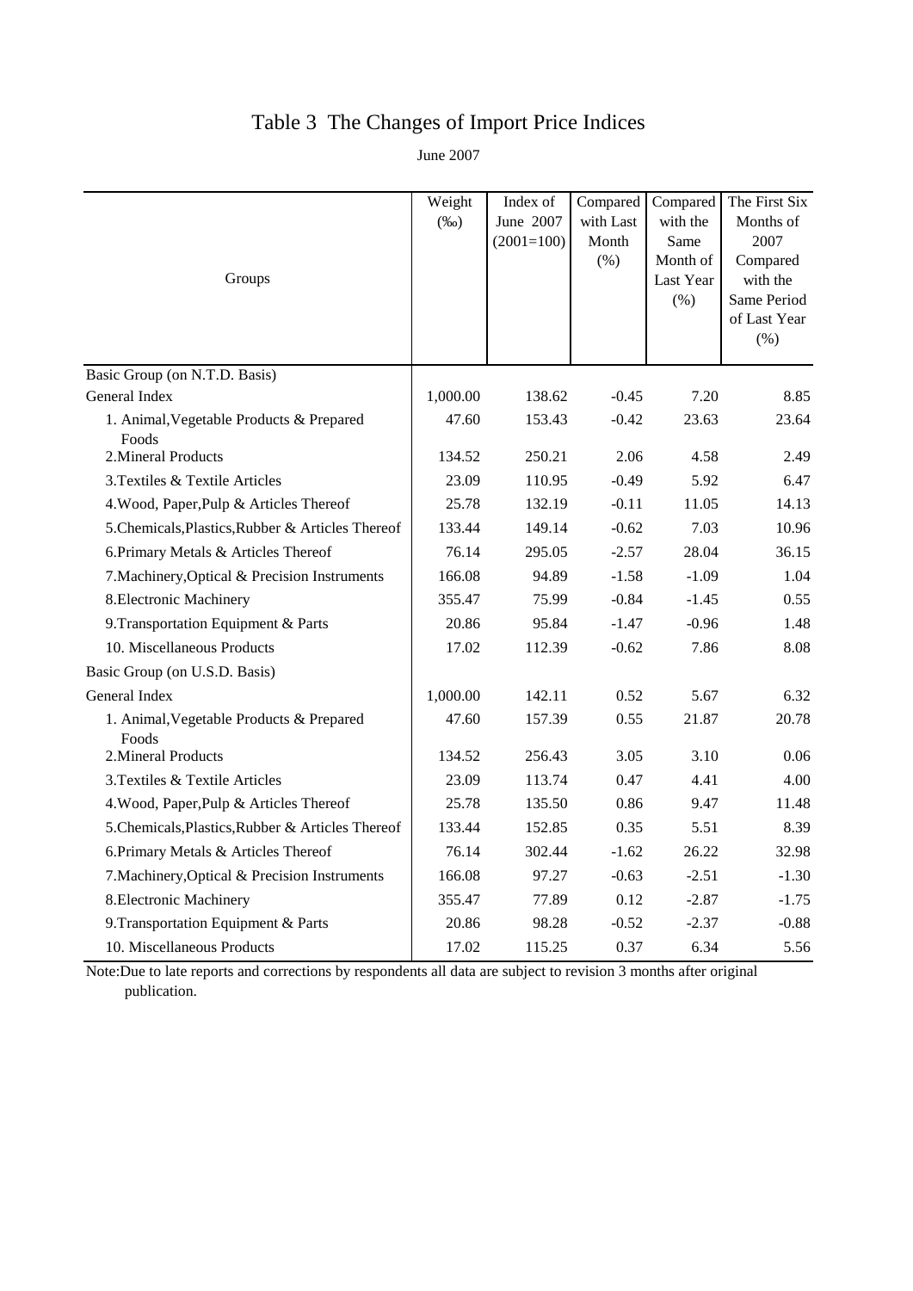## Table 3 The Changes of Import Price Indices

June 2007

| Groups                                            | Weight<br>$(\%0)$ | Index of<br>June 2007<br>$(2001=100)$ | Compared<br>with Last<br>Month<br>$(\% )$ | Compared<br>with the<br>Same<br>Month of<br>Last Year<br>(% ) | The First Six<br>Months of<br>2007<br>Compared<br>with the<br>Same Period<br>of Last Year<br>(% ) |
|---------------------------------------------------|-------------------|---------------------------------------|-------------------------------------------|---------------------------------------------------------------|---------------------------------------------------------------------------------------------------|
| Basic Group (on N.T.D. Basis)<br>General Index    | 1,000.00          | 138.62                                | $-0.45$                                   | 7.20                                                          | 8.85                                                                                              |
|                                                   | 47.60             | 153.43                                | $-0.42$                                   | 23.63                                                         | 23.64                                                                                             |
| 1. Animal, Vegetable Products & Prepared<br>Foods |                   |                                       |                                           |                                                               |                                                                                                   |
| 2. Mineral Products                               | 134.52            | 250.21                                | 2.06                                      | 4.58                                                          | 2.49                                                                                              |
| 3. Textiles & Textile Articles                    | 23.09             | 110.95                                | $-0.49$                                   | 5.92                                                          | 6.47                                                                                              |
| 4. Wood, Paper, Pulp & Articles Thereof           | 25.78             | 132.19                                | $-0.11$                                   | 11.05                                                         | 14.13                                                                                             |
| 5. Chemicals, Plastics, Rubber & Articles Thereof | 133.44            | 149.14                                | $-0.62$                                   | 7.03                                                          | 10.96                                                                                             |
| 6. Primary Metals & Articles Thereof              | 76.14             | 295.05                                | $-2.57$                                   | 28.04                                                         | 36.15                                                                                             |
| 7. Machinery, Optical & Precision Instruments     | 166.08            | 94.89                                 | $-1.58$                                   | $-1.09$                                                       | 1.04                                                                                              |
| 8. Electronic Machinery                           | 355.47            | 75.99                                 | $-0.84$                                   | $-1.45$                                                       | 0.55                                                                                              |
| 9. Transportation Equipment & Parts               | 20.86             | 95.84                                 | $-1.47$                                   | $-0.96$                                                       | 1.48                                                                                              |
| 10. Miscellaneous Products                        | 17.02             | 112.39                                | $-0.62$                                   | 7.86                                                          | 8.08                                                                                              |
| Basic Group (on U.S.D. Basis)                     |                   |                                       |                                           |                                                               |                                                                                                   |
| General Index                                     | 1,000.00          | 142.11                                | 0.52                                      | 5.67                                                          | 6.32                                                                                              |
| 1. Animal, Vegetable Products & Prepared<br>Foods | 47.60             | 157.39                                | 0.55                                      | 21.87                                                         | 20.78                                                                                             |
| 2. Mineral Products                               | 134.52            | 256.43                                | 3.05                                      | 3.10                                                          | 0.06                                                                                              |
| 3. Textiles & Textile Articles                    | 23.09             | 113.74                                | 0.47                                      | 4.41                                                          | 4.00                                                                                              |
| 4. Wood, Paper, Pulp & Articles Thereof           | 25.78             | 135.50                                | 0.86                                      | 9.47                                                          | 11.48                                                                                             |
| 5. Chemicals, Plastics, Rubber & Articles Thereof | 133.44            | 152.85                                | 0.35                                      | 5.51                                                          | 8.39                                                                                              |
| 6. Primary Metals & Articles Thereof              | 76.14             | 302.44                                | $-1.62$                                   | 26.22                                                         | 32.98                                                                                             |
| 7. Machinery, Optical & Precision Instruments     | 166.08            | 97.27                                 | $-0.63$                                   | $-2.51$                                                       | $-1.30$                                                                                           |
| 8. Electronic Machinery                           | 355.47            | 77.89                                 | 0.12                                      | $-2.87$                                                       | $-1.75$                                                                                           |
| 9. Transportation Equipment & Parts               | 20.86             | 98.28                                 | $-0.52$                                   | $-2.37$                                                       | $-0.88$                                                                                           |
| 10. Miscellaneous Products                        | 17.02             | 115.25                                | 0.37                                      | 6.34                                                          | 5.56                                                                                              |

Note:Due to late reports and corrections by respondents all data are subject to revision 3 months after original publication.